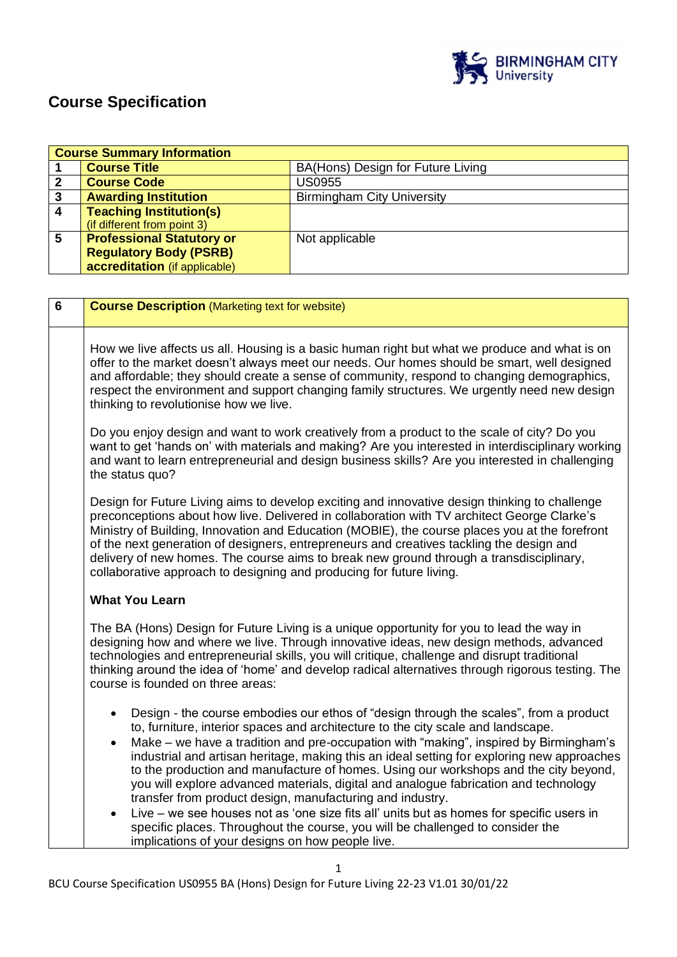

# **Course Specification**

|   | <b>Course Summary Information</b> |                                   |  |
|---|-----------------------------------|-----------------------------------|--|
|   | <b>Course Title</b>               | BA(Hons) Design for Future Living |  |
|   | <b>Course Code</b>                | <b>US0955</b>                     |  |
| 3 | <b>Awarding Institution</b>       | <b>Birmingham City University</b> |  |
| 4 | <b>Teaching Institution(s)</b>    |                                   |  |
|   | (if different from point 3)       |                                   |  |
| 5 | <b>Professional Statutory or</b>  | Not applicable                    |  |
|   | <b>Regulatory Body (PSRB)</b>     |                                   |  |
|   | accreditation (if applicable)     |                                   |  |

| $6\phantom{1}$ | <b>Course Description (Marketing text for website)</b>                                                                                                                                                                                                                                                                                                                                                                                                                                                                                                                                                                                  |
|----------------|-----------------------------------------------------------------------------------------------------------------------------------------------------------------------------------------------------------------------------------------------------------------------------------------------------------------------------------------------------------------------------------------------------------------------------------------------------------------------------------------------------------------------------------------------------------------------------------------------------------------------------------------|
|                | How we live affects us all. Housing is a basic human right but what we produce and what is on<br>offer to the market doesn't always meet our needs. Our homes should be smart, well designed<br>and affordable; they should create a sense of community, respond to changing demographics,<br>respect the environment and support changing family structures. We urgently need new design<br>thinking to revolutionise how we live.                                                                                                                                                                                                     |
|                | Do you enjoy design and want to work creatively from a product to the scale of city? Do you<br>want to get 'hands on' with materials and making? Are you interested in interdisciplinary working<br>and want to learn entrepreneurial and design business skills? Are you interested in challenging<br>the status quo?                                                                                                                                                                                                                                                                                                                  |
|                | Design for Future Living aims to develop exciting and innovative design thinking to challenge<br>preconceptions about how live. Delivered in collaboration with TV architect George Clarke's<br>Ministry of Building, Innovation and Education (MOBIE), the course places you at the forefront<br>of the next generation of designers, entrepreneurs and creatives tackling the design and<br>delivery of new homes. The course aims to break new ground through a transdisciplinary,<br>collaborative approach to designing and producing for future living.                                                                           |
|                | <b>What You Learn</b>                                                                                                                                                                                                                                                                                                                                                                                                                                                                                                                                                                                                                   |
|                | The BA (Hons) Design for Future Living is a unique opportunity for you to lead the way in<br>designing how and where we live. Through innovative ideas, new design methods, advanced<br>technologies and entrepreneurial skills, you will critique, challenge and disrupt traditional<br>thinking around the idea of 'home' and develop radical alternatives through rigorous testing. The<br>course is founded on three areas:                                                                                                                                                                                                         |
|                | Design - the course embodies our ethos of "design through the scales", from a product<br>$\bullet$<br>to, furniture, interior spaces and architecture to the city scale and landscape.<br>Make – we have a tradition and pre-occupation with "making", inspired by Birmingham's<br>$\bullet$<br>industrial and artisan heritage, making this an ideal setting for exploring new approaches<br>to the production and manufacture of homes. Using our workshops and the city beyond,<br>you will explore advanced materials, digital and analogue fabrication and technology<br>transfer from product design, manufacturing and industry. |
|                | Live – we see houses not as 'one size fits all' units but as homes for specific users in<br>$\bullet$<br>specific places. Throughout the course, you will be challenged to consider the<br>implications of your designs on how people live.                                                                                                                                                                                                                                                                                                                                                                                             |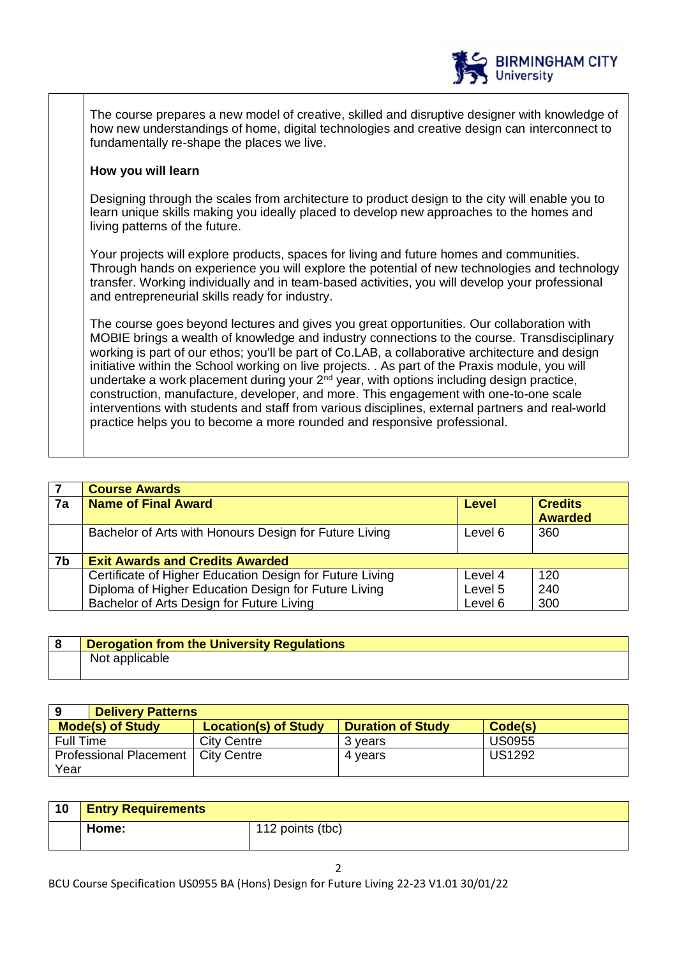

**BIRMINGHAM CITY** 

**University** 

## **How you will learn**

Designing through the scales from architecture to product design to the city will enable you to learn unique skills making you ideally placed to develop new approaches to the homes and living patterns of the future.

Your projects will explore products, spaces for living and future homes and communities. Through hands on experience you will explore the potential of new technologies and technology transfer. Working individually and in team-based activities, you will develop your professional and entrepreneurial skills ready for industry.

The course goes beyond lectures and gives you great opportunities. Our collaboration with MOBIE brings a wealth of knowledge and industry connections to the course. Transdisciplinary working is part of our ethos; you'll be part of Co.LAB, a collaborative architecture and design initiative within the School working on live projects. . As part of the Praxis module, you will undertake a work placement during your  $2<sup>nd</sup>$  year, with options including design practice, construction, manufacture, developer, and more. This engagement with one-to-one scale interventions with students and staff from various disciplines, external partners and real-world practice helps you to become a more rounded and responsive professional.

|    | <b>Course Awards</b>                                     |              |                                  |
|----|----------------------------------------------------------|--------------|----------------------------------|
| 7a | <b>Name of Final Award</b>                               | <b>Level</b> | <b>Credits</b><br><b>Awarded</b> |
|    | Bachelor of Arts with Honours Design for Future Living   | Level 6      | 360                              |
| 7b | <b>Exit Awards and Credits Awarded</b>                   |              |                                  |
|    | Certificate of Higher Education Design for Future Living | Level 4      | 120                              |
|    | Diploma of Higher Education Design for Future Living     | Level 5      | 240                              |
|    | Bachelor of Arts Design for Future Living                | Level 6      | 300                              |

| <b>Derogation from the University Regulations</b> |
|---------------------------------------------------|
| Not applicable                                    |

| 9<br><b>Delivery Patterns</b>        |                             |                          |               |
|--------------------------------------|-----------------------------|--------------------------|---------------|
| <b>Mode(s) of Study</b>              | <b>Location(s) of Study</b> | <b>Duration of Study</b> | Code(s)       |
| <b>Full Time</b>                     | <b>City Centre</b>          | 3 vears                  | <b>US0955</b> |
| Professional Placement   City Centre |                             | 4 vears                  | <b>US1292</b> |
| Year                                 |                             |                          |               |

| 10 | <b>Entry Requirements</b> |                  |
|----|---------------------------|------------------|
|    | Home:                     | 112 points (tbc) |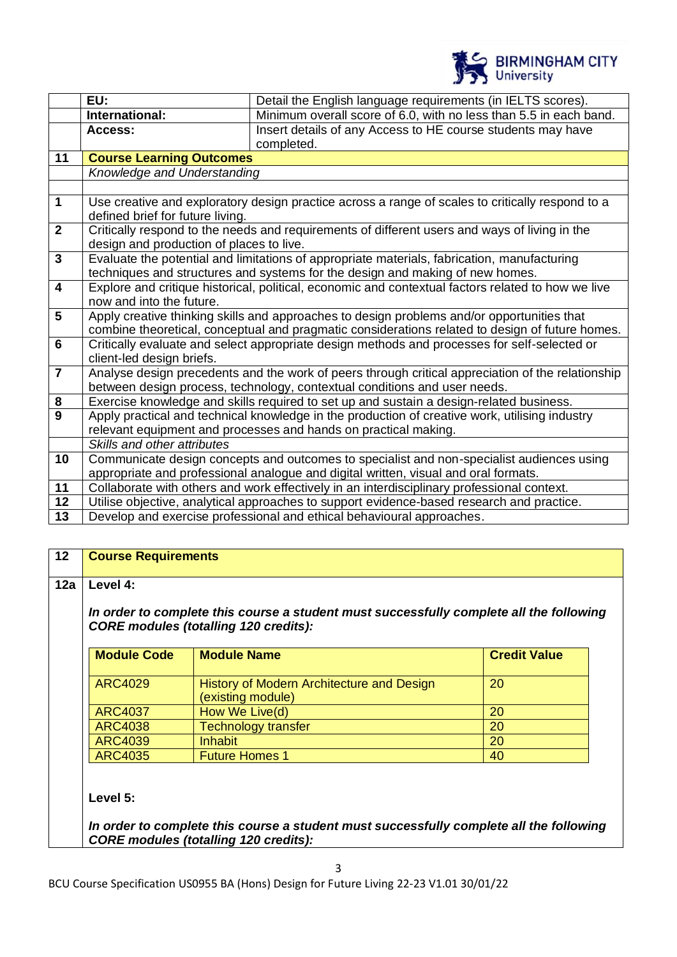

|                         | EU:                                                                                                                       | Detail the English language requirements (in IELTS scores).                                      |
|-------------------------|---------------------------------------------------------------------------------------------------------------------------|--------------------------------------------------------------------------------------------------|
|                         | International:                                                                                                            | Minimum overall score of 6.0, with no less than 5.5 in each band.                                |
|                         | Access:                                                                                                                   | Insert details of any Access to HE course students may have                                      |
|                         | completed.                                                                                                                |                                                                                                  |
| 11                      | <b>Course Learning Outcomes</b>                                                                                           |                                                                                                  |
|                         | Knowledge and Understanding                                                                                               |                                                                                                  |
|                         |                                                                                                                           |                                                                                                  |
| $\mathbf 1$             |                                                                                                                           | Use creative and exploratory design practice across a range of scales to critically respond to a |
|                         | defined brief for future living.                                                                                          |                                                                                                  |
| $\overline{2}$          |                                                                                                                           | Critically respond to the needs and requirements of different users and ways of living in the    |
|                         | design and production of places to live.                                                                                  |                                                                                                  |
| $\overline{3}$          | Evaluate the potential and limitations of appropriate materials, fabrication, manufacturing                               |                                                                                                  |
|                         | techniques and structures and systems for the design and making of new homes.                                             |                                                                                                  |
| $\overline{\mathbf{4}}$ | Explore and critique historical, political, economic and contextual factors related to how we live                        |                                                                                                  |
|                         | now and into the future.                                                                                                  |                                                                                                  |
| $5\phantom{1}$          |                                                                                                                           | Apply creative thinking skills and approaches to design problems and/or opportunities that       |
|                         |                                                                                                                           | combine theoretical, conceptual and pragmatic considerations related to design of future homes.  |
| 6                       | Critically evaluate and select appropriate design methods and processes for self-selected or<br>client-led design briefs. |                                                                                                  |
| $\overline{7}$          | Analyse design precedents and the work of peers through critical appreciation of the relationship                         |                                                                                                  |
|                         | between design process, technology, contextual conditions and user needs.                                                 |                                                                                                  |
| 8                       | Exercise knowledge and skills required to set up and sustain a design-related business.                                   |                                                                                                  |
| $\overline{9}$          | Apply practical and technical knowledge in the production of creative work, utilising industry                            |                                                                                                  |
|                         |                                                                                                                           | relevant equipment and processes and hands on practical making.                                  |
|                         | Skills and other attributes                                                                                               |                                                                                                  |
| 10                      | Communicate design concepts and outcomes to specialist and non-specialist audiences using                                 |                                                                                                  |
|                         | appropriate and professional analogue and digital written, visual and oral formats.                                       |                                                                                                  |
| 11                      | Collaborate with others and work effectively in an interdisciplinary professional context.                                |                                                                                                  |
| 12                      | Utilise objective, analytical approaches to support evidence-based research and practice.                                 |                                                                                                  |
| 13                      |                                                                                                                           | Develop and exercise professional and ethical behavioural approaches.                            |

# **12 Course Requirements**

## **12a Level 4:**

*In order to complete this course a student must successfully complete all the following CORE modules (totalling 120 credits):*

| <b>Module Code</b> | <b>Module Name</b>                                             | <b>Credit Value</b> |
|--------------------|----------------------------------------------------------------|---------------------|
| <b>ARC4029</b>     | History of Modern Architecture and Design<br>(existing module) | 20                  |
| <b>ARC4037</b>     | How We Live(d)                                                 | 20                  |
| <b>ARC4038</b>     | <b>Technology transfer</b>                                     | 20                  |
| <b>ARC4039</b>     | <b>Inhabit</b>                                                 | 20                  |
| <b>ARC4035</b>     | <b>Future Homes 1</b>                                          | 40                  |

**Level 5:**

*In order to complete this course a student must successfully complete all the following CORE modules (totalling 120 credits):*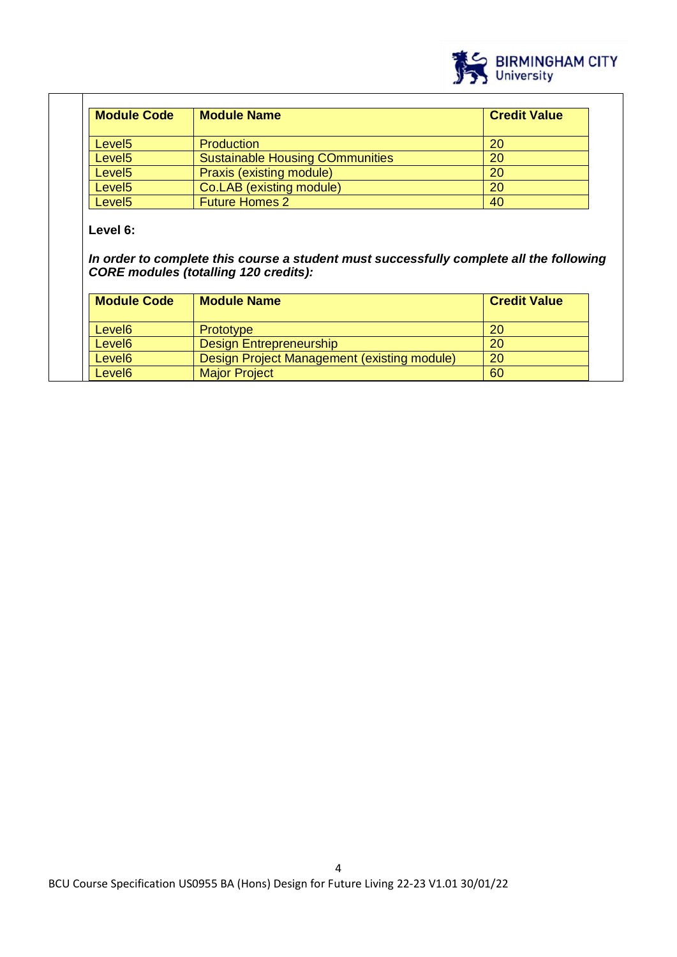

| <b>Module Code</b> | <b>Module Name</b>                     | <b>Credit Value</b> |
|--------------------|----------------------------------------|---------------------|
| Level <sub>5</sub> | <b>Production</b>                      | -20                 |
| Level <sub>5</sub> | <b>Sustainable Housing COmmunities</b> | 20                  |
| Level <sub>5</sub> | Praxis (existing module)               | 20                  |
| Level <sub>5</sub> | Co.LAB (existing module)               | 20                  |
| Level <sub>5</sub> | <b>Future Homes 2</b>                  | 40                  |

## **Level 6:**

T

*In order to complete this course a student must successfully complete all the following CORE modules (totalling 120 credits):*

| <b>Module Code</b> | <b>Module Name</b>                          | <b>Credit Value</b> |
|--------------------|---------------------------------------------|---------------------|
| Level <sub>6</sub> | Prototype                                   | <b>20</b>           |
| Level <sub>6</sub> | <b>Design Entrepreneurship</b>              | 20                  |
| Level <sub>6</sub> | Design Project Management (existing module) | 20                  |
| Level <sub>6</sub> | <b>Major Project</b>                        | 60                  |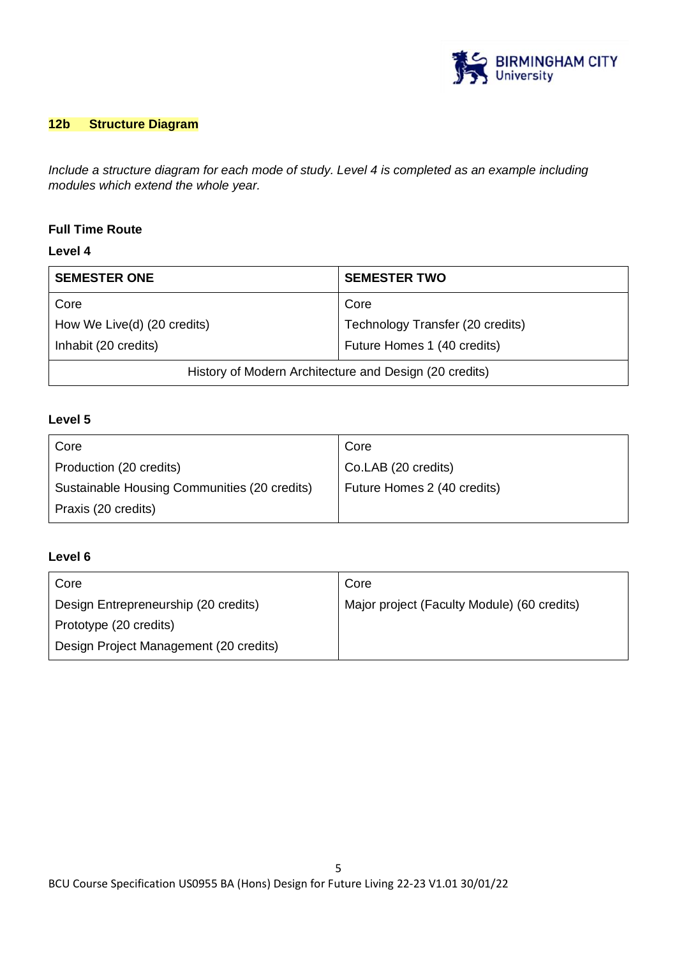

# **12b Structure Diagram**

*Include a structure diagram for each mode of study. Level 4 is completed as an example including modules which extend the whole year.* 

## **Full Time Route**

## **Level 4**

| <b>SEMESTER ONE</b>                                    | <b>SEMESTER TWO</b>              |  |
|--------------------------------------------------------|----------------------------------|--|
| Core                                                   | Core                             |  |
| How We Live(d) (20 credits)                            | Technology Transfer (20 credits) |  |
| Inhabit (20 credits)                                   | Future Homes 1 (40 credits)      |  |
| History of Modern Architecture and Design (20 credits) |                                  |  |

# **Level 5**

| Core                                         | Core                        |
|----------------------------------------------|-----------------------------|
| Production (20 credits)                      | Co.LAB (20 credits)         |
| Sustainable Housing Communities (20 credits) | Future Homes 2 (40 credits) |
| Praxis (20 credits)                          |                             |

# **Level 6**

| Core                                   | Core                                        |
|----------------------------------------|---------------------------------------------|
| Design Entrepreneurship (20 credits)   | Major project (Faculty Module) (60 credits) |
| Prototype (20 credits)                 |                                             |
| Design Project Management (20 credits) |                                             |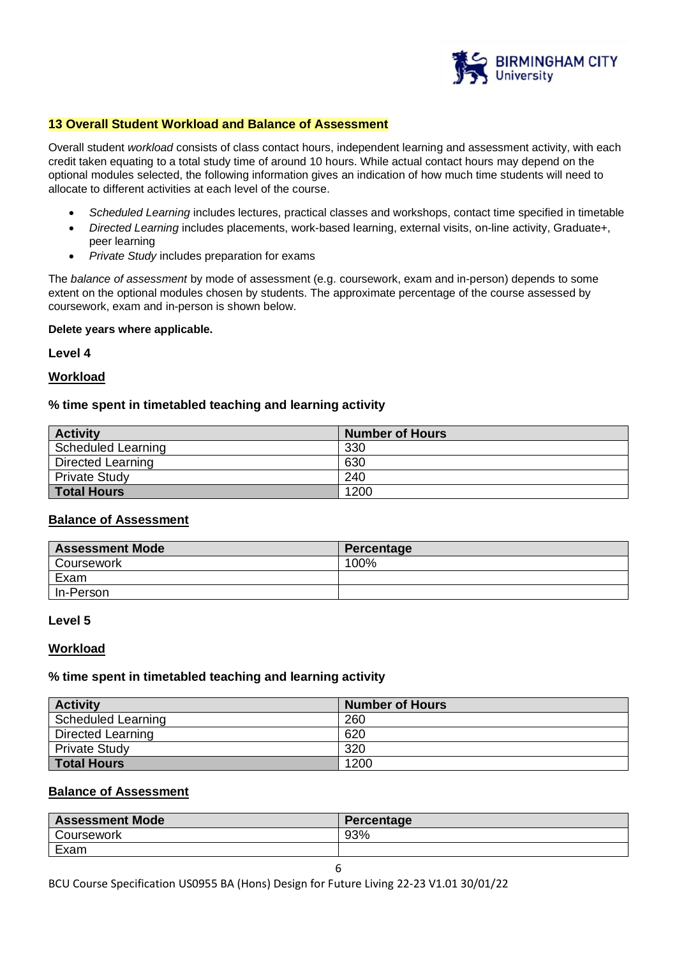

## **13 Overall Student Workload and Balance of Assessment**

Overall student *workload* consists of class contact hours, independent learning and assessment activity, with each credit taken equating to a total study time of around 10 hours. While actual contact hours may depend on the optional modules selected, the following information gives an indication of how much time students will need to allocate to different activities at each level of the course.

- *Scheduled Learning* includes lectures, practical classes and workshops, contact time specified in timetable
- *Directed Learning* includes placements, work-based learning, external visits, on-line activity, Graduate+, peer learning
- *Private Study* includes preparation for exams

The *balance of assessment* by mode of assessment (e.g. coursework, exam and in-person) depends to some extent on the optional modules chosen by students. The approximate percentage of the course assessed by coursework, exam and in-person is shown below.

#### **Delete years where applicable.**

**Level 4**

## **Workload**

## **% time spent in timetabled teaching and learning activity**

| <b>Activity</b>      | <b>Number of Hours</b> |
|----------------------|------------------------|
| Scheduled Learning   | 330                    |
| Directed Learning    | 630                    |
| <b>Private Study</b> | 240                    |
| <b>Total Hours</b>   | 1200                   |

## **Balance of Assessment**

| <b>Assessment Mode</b> | Percentage |
|------------------------|------------|
| Coursework             | 100%       |
| Exam                   |            |
| In-Person              |            |

## **Level 5**

#### **Workload**

#### **% time spent in timetabled teaching and learning activity**

| <b>Activity</b>      | <b>Number of Hours</b> |
|----------------------|------------------------|
| Scheduled Learning   | 260                    |
| Directed Learning    | 620                    |
| <b>Private Study</b> | 320                    |
| <b>Total Hours</b>   | 1200                   |

## **Balance of Assessment**

| <b>Assessment Mode</b> | <b>Percentage</b> |
|------------------------|-------------------|
| Coursework             | 93%               |
| Exam                   |                   |